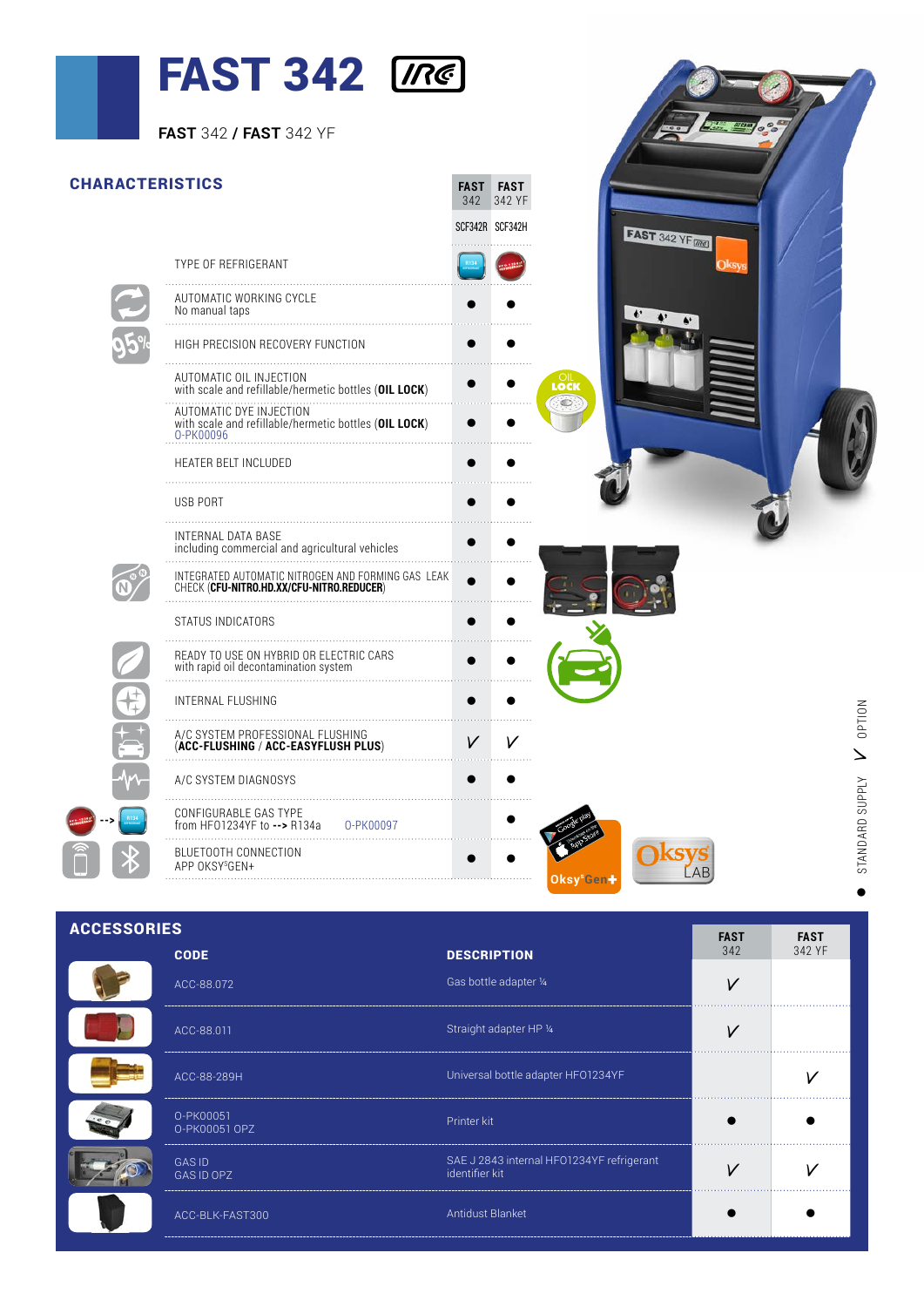## $\blacksquare$  FAST 342  $\sqrt{ne}$

|                        | <b>FAST 342 / FAST 342 YF</b>                                                                                                                          |                                |                        |                              |                 |
|------------------------|--------------------------------------------------------------------------------------------------------------------------------------------------------|--------------------------------|------------------------|------------------------------|-----------------|
|                        |                                                                                                                                                        |                                |                        |                              |                 |
| <b>CHARACTERISTICS</b> |                                                                                                                                                        | <b>FAST FAST</b><br>342 342 YF |                        |                              |                 |
|                        |                                                                                                                                                        | SCF342R SCF342H                |                        | <b>FAST</b> 342 YF <b>MB</b> |                 |
|                        | TYPE OF REFRIGERANT                                                                                                                                    |                                |                        |                              |                 |
|                        | AUTOMATIC WORKING CYCLE<br>No manual taps                                                                                                              |                                |                        |                              |                 |
|                        | HIGH PRECISION RECOVERY FUNCTION                                                                                                                       |                                |                        |                              |                 |
|                        | AUTOMATIC OIL INJECTION                                                                                                                                |                                | LOCI<br>Loci           |                              |                 |
|                        | With scale and refillable/hermetic bottles (OIL LOCK)<br>AUTOMATIC DYE INJECTION<br>with scale and refillable/hermetic bottles (OIL LOCK)<br>0-PK00096 |                                |                        |                              |                 |
|                        | HEATER BELT INCLUDED                                                                                                                                   | $\bullet$                      |                        |                              |                 |
|                        | USB PORT                                                                                                                                               |                                |                        |                              |                 |
|                        | INTERNAL DATA BASE<br>including commercial and agricultural vehicles                                                                                   |                                |                        |                              |                 |
|                        | INTEGRATED AUTOMATIC NITROGEN AND FORMING GAS LEAK<br>CHECK ( <b>CFU-NITRO.HD.XX/CFU-NITRO.REDUCER</b> )                                               |                                |                        |                              |                 |
|                        | STATUS INDICATORS                                                                                                                                      |                                |                        |                              |                 |
|                        |                                                                                                                                                        |                                |                        |                              |                 |
|                        | INTERNAL FLUSHING                                                                                                                                      |                                |                        |                              | <b>OPTION</b>   |
|                        | A/C SYSTEM PROFESSIONAL FLUSHING<br>(ACC-FLUSHING / ACC-EASYFLUSH PLUS)<br>(ACC-FLUSHING / ACC-EASYFLUSH PLUS) V V                                     | $\vee$                         | V                      |                              |                 |
|                        | A/C SYSTEM DIAGNOSYS                                                                                                                                   |                                |                        |                              |                 |
|                        | CONFIGURABLE GAS TYPE<br>from HF01234YF to --> R134a<br>0-PK00097                                                                                      |                                |                        |                              | STANDARD SUPPLY |
|                        | BLUETOOTH CONNECTION<br>APP OKSY <sup>SGEN+</sup>                                                                                                      |                                | Oksy <sup>s</sup> Gen+ | ksys<br>LAB                  |                 |
|                        |                                                                                                                                                        |                                |                        |                              |                 |

 $\overline{a}$ 

| <b>ACCESSORIES</b> | <b>FAST</b>                | <b>FAST</b>                                                 |     |        |
|--------------------|----------------------------|-------------------------------------------------------------|-----|--------|
|                    | <b>CODE</b>                | <b>DESCRIPTION</b>                                          | 342 | 342 YF |
|                    | ACC-88.072                 | Gas bottle adapter 1/4                                      | V   |        |
|                    | ACC-88.011                 | Straight adapter HP 1/4                                     |     |        |
|                    | ACC-88-289H                | Universal bottle adapter HFO1234YF                          |     |        |
|                    | O-PK00051<br>O-PK00051 OPZ | Printer kit                                                 |     |        |
|                    | <b>GASID</b><br>GAS ID OPZ | SAE J 2843 internal HFO1234YF refrigerant<br>identifier kit |     |        |
|                    | ACC-BLK-FAST300            | Antidust Blanket                                            |     |        |